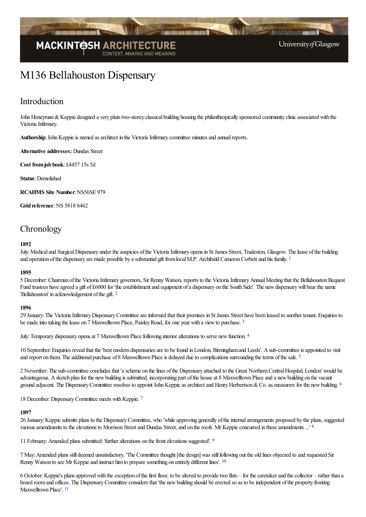

# M136 Bellahouston Dispensary

### Introduction

John Honeyman & Keppie designed a very plain two-storey classical building housing the philanthropically sponsored community clinic associated with the Victoria Infirmary.

Authorship: John Keppie is named as architect in the Victoria Infirmary committee minutes and annual reports.

**Alternative addresses:** Dundas Street

**Cost fromjob book**: £4457 15s 5d

**Status**:Demolished

**RCAHMS** Site Number: NS56SE 979

**Grid reference: NS 5818 6462** 

## **Chronology**

#### <span id="page-0-0"></span>**1892**

July: Medical and Surgical Dispensary under the auspicies of the Victoria Infirmary opens in St James Street, Tradeston, Glasgow. The lease of the building and operation of the dispensary are made possible by a substantial gift from local M.P. Archibald Cameron Corbett and his family. <sup>[1](#page-5-0)</sup>

#### **1895**

5 December:Chairman ofthe VictoriaInfirmary governors, Sir RennyWatson, reports to the VictoriaInfirmaryAnnualMeeting that the BellahoustonBequest Fund trustees have agreed a gift of £6000 for 'the establishment and equipment of a dispensary on the South Side'. The new dispensary will bear the name 'Bellahouston' in acknowledgement of the gift. <sup>[2](#page-5-1)</sup>

#### <span id="page-0-2"></span><span id="page-0-1"></span>**1896**

29 January:The VictoriaInfirmaryDispensaryCommitteeareinformed that their premises in StJames Street have been leased to another tenant. Enquiries to be made into taking the lease on 7 Maxwelltown Place, Paisley Road, for one year with a view to purchase.<sup>[3](#page-5-2)</sup>

<span id="page-0-3"></span>July: Temporary dispensary opens at 7 Maxwelltown Place following interior alterations to serve new function. [4](#page-5-3)

<span id="page-0-4"></span>10 September: Enquiries reveal that the 'best modern dispensaries are to be found in London, Birmingham and Leeds'. A sub-committee is appointed to visit and report on them. The additional purchase of 8 Maxwelltown Place is delayed due to complications surrounding the terms of the sale. <sup>[5](#page-5-4)</sup>

2 November:Thesub-committeeconcludes that 'ascheme on thelines ofthe Dispensary attached to the Great NorthernCentralHospital, London' would be advantageous. A sketch plan for the new building is submitted, incorporating part of the house at 8 Maxwelltown Place and a new building on the vacant ground adjacent. The Dispensary Committee resolves to appoint John Keppie as architect and Henry Herbertson & Co. as measurers for the new building.  $6$ 

<span id="page-0-6"></span><span id="page-0-5"></span>18 December: Dispensary Committee meets with Keppie. [7](#page-5-6)

#### <span id="page-0-7"></span>**1897**

26 January:Keppiesubmits plans to the DispensaryCommittee, who 'whileapproving generally oftheinternalarrangements proposed by the plans, suggested various amendments to the elevations to Morrison Street and Dundas Street, and on the roofs. Mr Keppie concurred in these amendments ...' [8](#page-5-7)

<span id="page-0-8"></span>11 February: Amended plans submitted: 'further alterations on the front elevations suggested'. <sup>[9](#page-5-8)</sup>

<span id="page-0-9"></span>7 May:Amended plans still deemed unsatisfactory. 'The Committeethought [the design] was stillfollowing out the old lines objected to and requested Sir Renny Watson to see Mr Keppie and instruct him to prepare something on entirely different lines'. [10](#page-5-9)

<span id="page-0-10"></span>6 October: Keppie's plans approved with the exception of the first floor, to be altered to provide two flats – for the caretaker and the collector – rather than a board room and offices. The Dispensary Committee considers that 'the new building should be erected so as to be independent of the property fronting Maxwelltown Place'. [11](#page-5-10)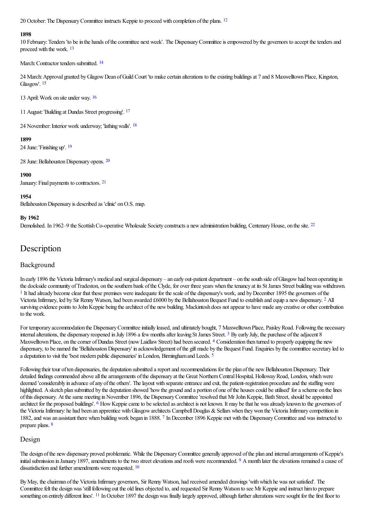<span id="page-1-0"></span>20 October: The Dispensary Committee instructs Keppie to proceed with completion of the plans. <sup>[12](#page-5-11)</sup>

#### **1898**

<span id="page-1-1"></span>10 February: Tenders 'to be in the hands of the committee next week'. The Dispensary Committee is empowered by the governors to accept the tenders and proceed with the work. [13](#page-5-12)

#### <span id="page-1-2"></span>March: Contractor tenders submitted. <sup>[14](#page-5-13)</sup>

<span id="page-1-3"></span>24 March: Approval granted by Glagow Dean of Guild Court 'to make certain alterations to the existing buildings at 7 and 8 Maxwelltown Place, Kingston, Glasgow'. [15](#page-5-14)

<span id="page-1-4"></span>13 April:Work on site under way. [16](#page-6-0)

<span id="page-1-5"></span>11 August:'Building at Dundas Street progressing'. [17](#page-6-1)

<span id="page-1-6"></span>24 November: Interior work underway; 'lathing walls'. <sup>[18](#page-6-2)</sup>

#### **1899**

<span id="page-1-7"></span>24 June:'Finishing up'. [19](#page-6-3)

<span id="page-1-8"></span>28 June: Bellahouston Dispensary opens. [20](#page-6-4)

#### <span id="page-1-9"></span>**1900**

January: Final payments to contractors. [21](#page-6-5)

#### **1954**

Bellahouston Dispensary is described as 'clinic' on O.S. map.

#### **By 1962**

<span id="page-1-10"></span>Demolished. In 1962–9 the Scottish Co-operative Wholesale Society constructs a new administration building, Centenary House, on the site. <sup>[22](#page-6-6)</sup>

## **Description**

#### Background

<span id="page-1-12"></span><span id="page-1-11"></span>In early 1896 the Victoria Infirmary's medical and surgical dispensary – an early out-patient department – on the south side of Glasgow had been operating in the dockside community of Tradeston, on the southern bank of the Clyde, for over three years when the tenancy at its St James Street building was withdrawn. <sup>[1](#page-6-7)</sup> It had already become clear that these premises were inadequate for the scale of the dispensary's work, and by December 1895 the governors of the Victoria Infirmary, led by Sir Renny Watson, had been awarded £6000 by the Bellahouston Bequest Fund to establish and equip a new dispensary. <sup>[2](#page-6-8)</sup> All surviving evidence points to John Keppie being the architect of the new building. Mackintosh does not appear to have made any creative or other contribution to the work.

<span id="page-1-14"></span><span id="page-1-13"></span>For temporary accommodation the Dispensary Committee initially leased, and ultimately bought, 7 Maxwelltown Place, Paisley Road. Following the necessary internal alterations, the dispensary reopened in July 1896 a few months after leaving St James Street. <sup>[3](#page-6-9)</sup> By early July, the purchase of the adjacent 8 Maxwelltown Place, on the corner of Dundas Street (now Laidlaw Street) had been secured. [4](#page-6-10) Consideration then turned to properly equipping the new dispensary, to be named the 'Bellahouston Dispensary' in acknowledgement of the gift made by the Bequest Fund. Enquiries by the committee secretary led to a deputation to visit the 'best modern public dispensaries' in London, Birmingham and Leeds. <sup>[5](#page-6-11)</sup>

<span id="page-1-16"></span><span id="page-1-15"></span>Following their tour of ten dispensaries, the deputation submitted a report and recommendations for the plan of the new Bellahouston Dispensary. Their detailed findings commended above all the arrangements of the dispensary at the Great Northern Central Hospital, Holloway Road, London, which were deemed 'considerably in advance of any of the others'. The layout with separate entrance and exit, the patient-registration procedure and the staffing were highlighted. A sketch plan submitted by the deputation showed 'how the ground and a portion of one of the houses could be utilised' for a scheme on the lines ofthis dispensary. At thesame meeting inNovember 1896, the DispensaryCommittee'resolved that Mr JohnKeppie, Bath Street, should beappointed architect for the proposed buildings'. <sup>[6](#page-6-12)</sup> How Keppie came to be selected as architect is not known. It may be that he was already known to the governors of the Victoria Infirmary: he had been an apprentice with Glasgow architects Campbell Douglas & Sellars when they won the Victoria Infirmary competition in 1882, and was an assistant there when building work began in 1888. [7](#page-6-13) In December 1896 Keppie met with the Dispensary Committee and was instructed to prepare plans. [8](#page-6-14)

#### <span id="page-1-18"></span><span id="page-1-17"></span>Design

<span id="page-1-19"></span>The design of the new dispensary proved problematic. While the Dispensary Committee generally approved of the plan and internal arrangements of Keppie's initial submission in January 18[9](#page-6-15)7, amendments to the two street elevations and roofs were recommended. <sup>9</sup> A month later the elevations remained a cause of dissatisfaction and further amendments were requested.  $10$ 

<span id="page-1-21"></span><span id="page-1-20"></span>By May, the chairman of the Victoria Infirmary governors, Sir Renny Watson, had received amended drawings 'with which he was not satisfied'. The Committeefelt the designwas 'stillfollowing out the old lines objected to,and requested Sir RennyWatson to see Mr Keppieand instruct himto prepare something on entirely different lines'. <sup>[11](#page-6-17)</sup> In October 1897 the design was finally largely approved, although further alterations were sought for the first floor to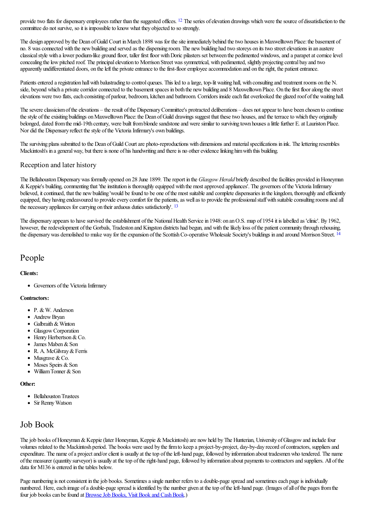<span id="page-2-0"></span>provide two flats for dispensary employees rather than the suggested offices. <sup>[12](#page-6-18)</sup> The series of elevation drawings which were the source of dissatisfaction to the committee do not survive, so it is impossible to know what they objected to so strongly.

The design approved by the Dean of Guild Court in March 1898 was for the site immediately behind the two houses in Maxwelltown Place: the basement of no. 8 was connected with the new building and served as the dispensing room. The new building had two storeys on its two street elevations in an austere classical style with a lower podium-like ground floor, taller first floor with Doric pilasters set between the pedimented windows, and a parapet at cornice level concealing the low pitched roof. The principal elevation to Morrison Street was symmetrical, with pedimented, slightly projecting central bay and two apparently undifferentiated doors, on the left the private entrance to the first-floor employee accommodation and on the right, the patient entrance.

Patients entered a registration hall with balustrading to control queues. This led to a large, top-lit waiting hall, with consulting and treatment rooms on the N. side, beyond which a private corridor connected to the basement spaces in both the new building and 8 Maxwelltown Place. On the first floor along the street elevations were two flats, each consisting of parlour, bedroom, kitchen and bathroom. Corridors inside each flat overlooked the glazed roof of the waiting hall.

The severe classicism of the elevations – the result of the Dispensary Committee's protracted deliberations – does not appear to have been chosen to continue the style of the exisiting buildings on Maxwelltown Place: the Dean of Guild drawings suggest that these two houses, and the terrace to which they originally belonged, dated from the mid-19th century, were built from blonde sandstone and were similar to surviving town houses a little further E. at Lauriston Place. Nor did the Dispensary reflect the style of the Victoria Infirmary's own buildings.

The surviving plans submitted to the Dean of Guild Court are photo-reproductions with dimensions and material specifications in ink. The lettering resembles Mackintosh's in a general way, but there is none of his handwriting and there is no other evidence linking him with this building.

#### Reception and later history

The BellahoustonDispensarywas formally opened on 28 June 1899. Thereport in the *Glasgow Herald* briefly described thefacilities provided inHoneyman & Keppie's building, commenting that 'the institution is thoroughly equipped with the most approved appliances'. The governors of the Victoria Infirmary believed, it continued, that the new building 'would be found to be one of the most suitable and complete dispensaries in the kingdom, thoroughly and efficiently equipped, they having endeavoured to provide every comfort for the patients, as well as to provide the professional staff with suitable consulting rooms and all the necessary appliances for carrying on their arduous duties satisfactorily'. <sup>[13](#page-6-19)</sup>

<span id="page-2-1"></span>The dispensary appears to have survived the establishment of the National Health Service in 1948: on an O.S. map of 1954 it is labelled as 'clinic'. By 1962, however, the redevelopment of the Gorbals, Tradeston and Kingston districts had begun, and with the likely loss of the patient community through rehousing, the dispensary was demolished to make way for the expansion of the Scottish Co-operative Wholesale Society's buildings in and around Morrison Street. <sup>[14](#page-6-20)</sup>

### People

#### **Clients:**

<span id="page-2-2"></span>• Governors of the Victoria Infirmary

#### **Contractors:**

- P. & W. Anderson
- Andrew Bryan
- Galbraith & Winton
- Glasgow Corporation
- $\bullet$  Henry Herbertson & Co.
- James Maben & Son
- R. A. McGilvray&Ferris
- $\bullet$  Musgrave & Co.
- $\bullet$  Moses Speirs & Son
- $\bullet$  William Tonner & Son

#### **Other:**

- Bellahouston Trustees
- Sir Renny Watson

### Job Book

The job books of Honeyman & Keppie (later Honeyman, Keppie & Mackintosh) are now held by The Hunterian, University of Glasgow and include four volumes related to the Mackintosh period. The books were used by the firm to keep a project-by-project, day-by-day record of contractors, suppliers and expenditure. The name of a project and/or client is usually at the top of the left-hand page, followed by information about tradesmen who tendered. The name ofthe measurer (quantity surveyor) is usually at thetop oftheright-hand page, followed by information about payments to contractorsand suppliers. All ofthe data for M136 is entered in the tables below.

Page numbering is not consistent in the job books. Sometimes a single number refers to a double-page spread and sometimes each page is individually numbered. Here, each image of a double-page spread is identified by the number given at the top of the left-hand page. (Images of all of the pages from the four job books can be found at Browse Job Books, Visit Book and Cash Book.)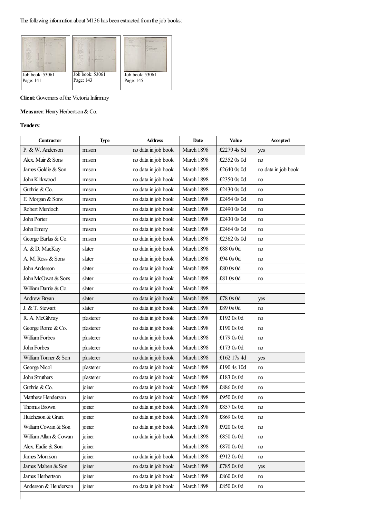

**Client:** Governors of the Victoria Infirmary

#### **Measurer:** Henry Herbertson & Co.

#### **Tenders**:

| <b>Contractor</b>     | <b>Type</b> | <b>Address</b>      | Date       | Value       | Accepted            |
|-----------------------|-------------|---------------------|------------|-------------|---------------------|
| P. & W. Anderson      | mason       | no data in job book | March 1898 | £2279 4s 6d | yes                 |
| Alex. Muir & Sons     | mason       | no data in job book | March 1898 | £2352 0s 0d | no                  |
| James Goldie & Son    | mason       | no data in job book | March 1898 | £2640 0s 0d | no data in job book |
| John Kirkwood         | mason       | no data in job book | March 1898 | £2350 0s 0d | no                  |
| Guthrie & Co.         | mason       | no data in job book | March 1898 | £2430 0s 0d | no                  |
| E. Morgan & Sons      | mason       | no data in job book | March 1898 | £2454 0s 0d | no                  |
| Robert Murdoch        | mason       | no data in job book | March 1898 | £2490 0s 0d | no                  |
| John Porter           | mason       | no data in job book | March 1898 | £2430 0s 0d | no                  |
| John Emery            | mason       | no data in job book | March 1898 | £2464 0s 0d | no                  |
| George Barlas & Co.   | mason       | no data in job book | March 1898 | £2362 0s 0d | no                  |
| A. & D. MacKay        | slater      | no data in job book | March 1898 | £88 0s 0d   | no                  |
| A. M. Ross & Sons     | slater      | no data in job book | March 1898 | £94 0s 0d   | no                  |
| John Anderson         | slater      | no data in job book | March 1898 | £80 0s 0d   | no                  |
| John McOwat & Sons    | slater      | no data in job book | March 1898 | £81 0s 0d   | no                  |
| William Darrie & Co.  | slater      | no data in job book | March 1898 |             |                     |
| Andrew Bryan          | slater      | no data in job book | March 1898 | £78 0s 0d   | yes                 |
| J. & T. Stewart       | slater      | no data in job book | March 1898 | £89 0s 0d   | no                  |
| R. A. McGilvray       | plasterer   | no data in job book | March 1898 | £192 0s 0d  | no                  |
| George Rome & Co.     | plasterer   | no data in job book | March 1898 | £190 0s 0d  | no                  |
| William Forbes        | plasterer   | no data in job book | March 1898 | £179 0s 0d  | no                  |
| John Forbes           | plasterer   | no data in job book | March 1898 | £173 0s 0d  | no                  |
| William Tonner & Son  | plasterer   | no data in job book | March 1898 | £162 17s 4d | yes                 |
| George Nicol          | plasterer   | no data in job book | March 1898 | £190 4s 10d | no                  |
| John Struthers        | plasterer   | no data in job book | March 1898 | £183 0s 0d  | no                  |
| Guthrie & Co.         | joiner      | no data in job book | March 1898 | £886 0s 0d  | no                  |
| Matthew Henderson     | joiner      | no data in job book | March 1898 | £950 0s 0d  | no                  |
| <b>Thomas Brown</b>   | joiner      | no data in job book | March 1898 | £857 0s 0d  | no                  |
| Hutcheson & Grant     | joiner      | no data in job book | March 1898 | £869 0s 0d  | no                  |
| William Cowan & Son   | joiner      | no data in job book | March 1898 | £920 0s 0d  | no                  |
| William Allan & Cowan | joiner      | no data in job book | March 1898 | £850 0s 0d  | no                  |
| Alex. Eadie & Son     | joiner      |                     | March 1898 | £870 0s 0d  | no                  |
| <b>James Morrison</b> | joiner      | no data in job book | March 1898 | £912 0s 0d  | no                  |
| James Maben & Son     | joiner      | no data in job book | March 1898 | £785 0s 0d  | yes                 |
| James Herbertson      | joiner      | no data in job book | March 1898 | £860 0s 0d  | no                  |
| Anderson & Henderson  | joiner      | no data in job book | March 1898 | £850 0s 0d  | no                  |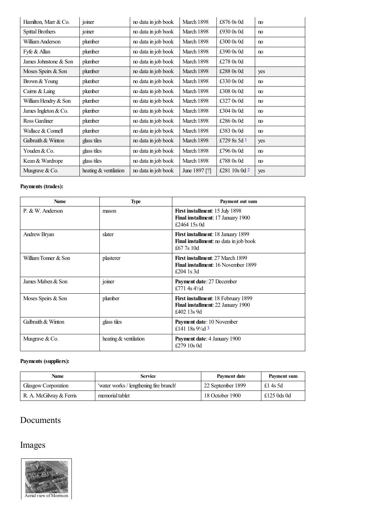| Hamilton, Marr & Co.    | joiner                  | no data in job book | March 1898    | £876 0s 0d      | n <sub>0</sub> |
|-------------------------|-------------------------|---------------------|---------------|-----------------|----------------|
| <b>Spittal Brothers</b> | joiner                  | no data in job book | March 1898    | £930 $0s$ 0d    | n <sub>0</sub> |
| William Anderson        | plumber                 | no data in job book | March 1898    | £300 0s 0d      | no             |
| Fyfe & Allan            | plumber                 | no data in job book | March 1898    | £390 0s 0d      | no             |
| James Johnstone & Son   | plumber                 | no data in job book | March 1898    | £278 0s 0d      |                |
| Moses Speirs & Son      | plumber                 | no data in job book | March 1898    | £288 0s 0d      | yes            |
| Brown & Young           | plumber                 | no data in job book | March 1898    | £330 0s 0d      | no             |
| Cairns & Laing          | plumber                 | no data in job book | March 1898    | £308 0s 0d      | no             |
| William Hendry & Son    | plumber                 | no data in job book | March 1898    | £327 0s 0d      | no             |
| James Ingleton $& Co.$  | plumber                 | no data in job book | March 1898    | £304 0s 0d      | no             |
| Ross Gardiner           | plumber                 | no data in job book | March 1898    | £286 $0s$ 0d    | no             |
| Wallace & Connell       | plumber                 | no data in job book | March 1898    | £383 0s 0d      | no             |
| Galbraith & Winton      | glass tiles             | no data in job book | March 1898    | £729 8s 5d 1    | yes            |
| Youden & Co.            | glass tiles             | no data in job book | March 1898    | £796 0s 0d      | no             |
| Kean & Wardrope         | glass tiles             | no data in job book | March 1898    | £788 0s 0d      | no             |
| Musgrave & Co.          | heating $&$ ventilation | no data in job book | June 1897 [?] | £281 10s 0d $2$ | yes            |

### <span id="page-4-1"></span><span id="page-4-0"></span>**Payments (trades):**

| <b>Name</b>          | <b>Type</b>           | Payment out sum                                                                                     |
|----------------------|-----------------------|-----------------------------------------------------------------------------------------------------|
| P. & W. Anderson     | mason                 | <b>First installment:</b> 15 July 1898<br>Final installment: 17 January 1900<br>£2464 15s 0d        |
| Andrew Bryan         | slater                | <b>First installment: 18 January 1899</b><br>Final installment: no data in job book<br>£67.7s 10d   |
| William Tonner & Son | plasterer             | <b>First installment: 27 March 1899</b><br><b>Final installment:</b> 16 November 1899<br>£204 1s 3d |
| James Maben & Son    | joiner                | Payment date: 27 December<br>£771 4s $4\frac{1}{2}d$                                                |
| Moses Speirs & Son   | plumber               | <b>First installment: 18 February 1899</b><br>Final installment: 22 January 1900<br>£402 13s 9d     |
| Galbraith & Winton   | glass tiles           | <b>Payment date:</b> 10 November<br>£141 18s $9\frac{1}{3}$ 3                                       |
| Musgrave & Co.       | heating & ventilation | Payment date: 4 January 1900<br>£279 10s 0d                                                         |

### <span id="page-4-2"></span>**Payments (suppliers):**

| Name                     | <b>Service</b>                          | Payment date      | Payment sum |
|--------------------------|-----------------------------------------|-------------------|-------------|
| Glasgow Corporation      | 'water works / lengthening fire branch' | 22 September 1899 | £14s5d      |
| R. A. McGilvray & Ferris | memorial tablet                         | 18 October 1900   | £125 0ds 0d |

## Documents

# Images

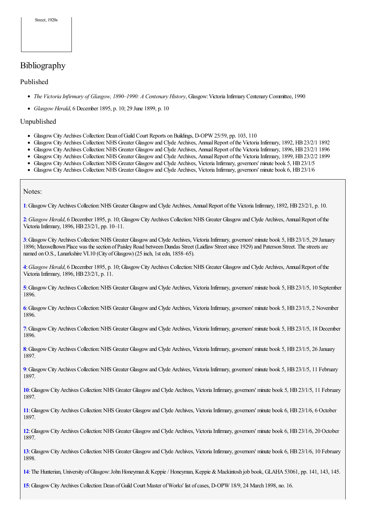## Bibliography

#### Published

- *The Victoria Infirmary of Glasgow, 1890–1990: A Centenary History*, Glasgow:VictoriaInfirmaryCentenaryCommittee, 1990
- *Glasgow Herald*, 6 December 1895, p. 10; 29 June 1899, p. 10

#### Unpublished

- Glasgow City Archives Collection: Dean of Guild Court Reports on Buildings, D-OPW 25/59, pp. 103, 110
- Glasgow City Archives Collection: NHS Greater Glasgow and Clyde Archives, Annual Report of the Victoria Infirmary, 1892, HB 23/2/1 1892
- Glasgow City Archives Collection: NHS Greater Glasgow and Clyde Archives, Annual Report of the Victoria Infirmary, 1896, HB 23/2/1 1896
- Glasgow City Archives Collection: NHS Greater Glasgow and Clyde Archives, Annual Report of the Victoria Infirmary, 1899, HB 23/2/2 1899
- Glasgow City Archives Collection: NHS Greater Glasgow and Clyde Archives, Victoria Infirmary, governors' minute book 5, HB 23/1/5
- Glasgow City Archives Collection: NHS Greater Glasgow and Clyde Archives, Victoria Infirmary, governors' minute book 6, HB 23/1/6

#### Notes:

<span id="page-5-0"></span>**[1](#page-0-0)**:GlasgowCityArchives Collection:NHS Greater Glasgowand Clyde Archives, AnnualReport ofthe VictoriaInfirmary, 1892, HB23/2/1, p. 10.

<span id="page-5-1"></span>[2](#page-0-1): Glasgow *Herald*, 6 December 1895, p. 10; Glasgow City Archives Collection: NHS Greater Glasgow and Clyde Archives, Annual Report of the Victoria Infirmary, 1896, HB 23/2/1, pp. 10-11.

<span id="page-5-2"></span>**[3](#page-0-2)**: Glasgow City Archives Collection: NHS Greater Glasgow and Clyde Archives, Victoria Infirmary, governors' minute book 5, HB 23/1/5, 29 January 1896; Maxwelltown Place was the section of Paisley Road between Dundas Street (Laidlaw Street since 1929) and Paterson Street. The streets are named on O.S., Lanarkshire VI.10 (City of Glasgow) (25 inch, 1st edn, 1858–65).

<span id="page-5-3"></span>**[4](#page-0-3)**:*Glasgow Herald*, 6 December 1895, p. 10; GlasgowCityArchives Collection:NHS Greater Glasgowand Clyde Archives, AnnualReport ofthe Victoria Infirmary, 1896, HB 23/2/1, p. 11.

<span id="page-5-4"></span>**[5](#page-0-4)**: Glasgow City Archives Collection: NHS Greater Glasgow and Clyde Archives, Victoria Infirmary, governors' minute book 5, HB 23/1/5, 10 September 1896.

<span id="page-5-5"></span>**[6](#page-0-5)**:GlasgowCityArchives Collection:NHS Greater Glasgowand Clyde Archives, VictoriaInfirmary, governors' minute book 5, HB23/1/5, 2 November 1896.

<span id="page-5-6"></span>**[7](#page-0-6)**:GlasgowCityArchives Collection:NHS Greater Glasgowand Clyde Archives, VictoriaInfirmary, governors' minute book 5, HB23/1/5, 18 December 1896.

<span id="page-5-7"></span>[8](#page-0-7): Glasgow City Archives Collection: NHS Greater Glasgow and Clyde Archives, Victoria Infirmary, governors' minute book 5, HB 23/1/5, 26 January 1897.

<span id="page-5-8"></span>**[9](#page-0-8)**: Glasgow City Archives Collection: NHS Greater Glasgow and Clyde Archives, Victoria Infirmary, governors' minute book 5, HB 23/1/5, 11 February 1897.

<span id="page-5-9"></span>[10](#page-0-9): Glasgow City Archives Collection: NHS Greater Glasgow and Clyde Archives, Victoria Infirmary, governors' minute book 5, HB 23/1/5, 11 February 1897.

<span id="page-5-10"></span>**[11](#page-0-10)**:GlasgowCityArchives Collection:NHS Greater Glasgowand Clyde Archives, VictoriaInfirmary, governors' minute book 6, HB23/1/6, 6 October 1897.

<span id="page-5-11"></span>[12](#page-1-0): Glasgow City Archives Collection: NHS Greater Glasgow and Clyde Archives, Victoria Infirmary, governors' minute book 6, HB 23/1/6, 20 October 1897.

<span id="page-5-12"></span>[13](#page-1-1): Glasgow City Archives Collection: NHS Greater Glasgow and Clyde Archives, Victoria Infirmary, governors' minute book 6, HB 23/1/6, 10 February 1898.

<span id="page-5-13"></span>**[14](#page-1-2)**:The Hunterian, University ofGlasgow:JohnHoneyman&Keppie/ Honeyman, Keppie &Mackintosh job book, GLAHA53061, pp. 141, 143, 145.

<span id="page-5-14"></span>**[15](#page-1-3)**:GlasgowCityArchives Collection:Dean ofGuild Court Master ofWorks' list ofcases, D-OPW 18/9, 24 March 1898, no. 16.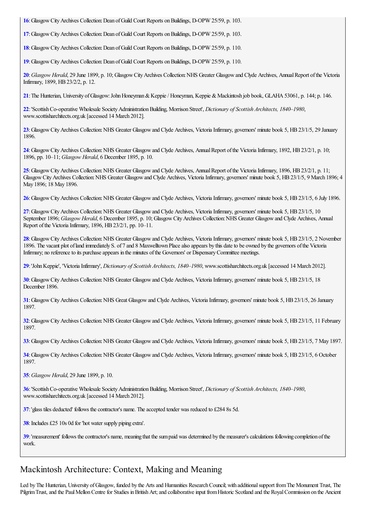<span id="page-6-0"></span>**[16](#page-1-4)**:GlasgowCityArchives Collection:Dean ofGuild Court Reports onBuildings, D-OPW 25/59, p. 103.

<span id="page-6-1"></span>**[17](#page-1-5)**:GlasgowCityArchives Collection:Dean ofGuild Court Reports onBuildings, D-OPW 25/59, p. 103.

<span id="page-6-2"></span>**[18](#page-1-6)**:GlasgowCityArchives Collection:Dean ofGuild Court Reports onBuildings, D-OPW 25/59, p. 110.

<span id="page-6-3"></span>**[19](#page-1-7)**:GlasgowCityArchives Collection:Dean ofGuild Court Reports onBuildings, D-OPW 25/59, p. 110.

<span id="page-6-4"></span>[20](#page-1-8): Glasgow *Herald*, 29 June 1899, p. 10; Glasgow City Archives Collection: NHS Greater Glasgow and Clyde Archives, Annual Report of the Victoria Infirmary, 1899, HB23/2/2, p. 12.

<span id="page-6-5"></span>**[21](#page-1-9)**: The Hunterian, University of Glasgow: John Honeyman & Keppie / Honeyman, Keppie & Mackintosh job book, GLAHA 53061, p. 144; p. 146.

<span id="page-6-6"></span>**[22](#page-1-10)**:'ScottishCo-operative Wholesale SocietyAdministrationBuilding, Morrison Street', *Dictionary of Scottish Architects, 1840–1980*, www.scottisharchitects.org.uk [accessed 14 March 2012].

<span id="page-6-7"></span>[23](#page-1-11): Glasgow City Archives Collection: NHS Greater Glasgow and Clyde Archives, Victoria Infirmary, governors' minute book 5, HB 23/1/5, 29 January 1896.

<span id="page-6-8"></span>[24](#page-1-12): Glasgow City Archives Collection: NHS Greater Glasgow and Clyde Archives, Annual Report of the Victoria Infirmary, 1892, HB 23/2/1, p. 10; 1896, pp. 10–11; *Glasgow Herald*, 6 December 1895, p. 10.

<span id="page-6-9"></span>[25](#page-1-13): Glasgow City Archives Collection: NHS Greater Glasgow and Clyde Archives, Annual Report of the Victoria Infirmary, 1896, HB 23/2/1, p. 11; Glasgow City Archives Collection: NHS Greater Glasgow and Clyde Archives, Victoria Infirmary, governors' minute book 5, HB 23/1/5, 9 March 1896; 4 May 1896; 18 May 1896.

<span id="page-6-10"></span>[26](#page-1-14): Glasgow City Archives Collection: NHS Greater Glasgow and Clyde Archives, Victoria Infirmary, governors' minute book 5, HB 23/1/5, 6 July 1896.

<span id="page-6-11"></span>[27](#page-1-15): Glasgow City Archives Collection: NHS Greater Glasgow and Clyde Archives, Victoria Infirmary, governors' minute book 5, HB 23/1/5, 10 September 1896; *Glasgow Herald*, 6 December 1895, p. 10; Glasgow City Archives Collection: NHS Greater Glasgow and Clyde Archives, Annual Report of the Victoria Infirmary, 1896, HB 23/2/1, pp. 10–11.

<span id="page-6-12"></span>[28](#page-1-16): Glasgow City Archives Collection: NHS Greater Glasgow and Clyde Archives, Victoria Infirmary, governors' minute book 5, HB 23/1/5, 2 November 1896. The vacant plot ofland immediately S. of 7 and 8 Maxwelltown Placealso appears by this dateto be owned by the governors ofthe Victoria Infirmary; no reference to its purchase appears in the minutes of the Governors' or Dispensary Committee meetings.

<span id="page-6-13"></span>**[29](#page-1-17)**:'JohnKeppie', 'VictoriaInfirmary', *Dictionary of Scottish Architects, 1840–1980*, www.scottisharchitects.org.uk [accessed 14 March 2012].

<span id="page-6-14"></span>**[30](#page-1-18)**: Glasgow City Archives Collection: NHS Greater Glasgow and Clyde Archives, Victoria Infirmary, governors' minute book 5, HB 23/1/5, 18 December 1896.

<span id="page-6-15"></span>**[31](#page-1-19)**: Glasgow City Archives Collection: NHS Great Glasgow and Clyde Archives, Victoria Infirmary, governors' minute book 5, HB 23/1/5, 26 January 1897.

<span id="page-6-16"></span>**[32](#page-1-20)**:GlasgowCityArchives Collection:NHS Greater Glasgowand Clyde Archives, VictoriaInfirmary, governors' minute book 5, HB23/1/5, 11 February 1897.

<span id="page-6-17"></span>**[33](#page-1-21)**:GlasgowCityArchives Collection:NHS Greater Glasgowand Clyde Archives, VictoriaInfirmary, governors' minute book 5, HB23/1/5, 7 May 1897.

<span id="page-6-18"></span>**[34](#page-2-0)**: Glasgow City Archives Collection: NHS Greater Glasgow and Clyde Archives, Victoria Infirmary, governors' minute book 5, HB 23/1/5, 6 October 1897.

<span id="page-6-19"></span>**[35](#page-2-1)**:*Glasgow Herald*, 29 June 1899, p. 10.

<span id="page-6-20"></span>**[36](#page-2-2)**:'ScottishCo-operative Wholesale SocietyAdministrationBuilding, Morrison Street', *Dictionary of Scottish Architects, 1840–1980*, www.scottisharchitects.org.uk [accessed 14 March 2012].

<span id="page-6-21"></span>**[37](#page-4-0)**: 'glass tiles deducted' follows the contractor's name. The accepted tender was reduced to £284 8s 5d.

<span id="page-6-22"></span>**[38](#page-4-1)**: Includes £25 10s 0d for 'hot water supply piping extra'.

<span id="page-6-23"></span>**[39](#page-4-2)**: 'measurement' follows the contractor's name, meaning that the sumpaid was determined by the measurer's calculations following completion of the work.

### Mackintosh Architecture: Context, Making and Meaning

Led by The Hunterian, University of Glasgow, funded by the Arts and Humanities Research Council; with additional support from The Monument Trust, The Pilgrim Trust, and the Paul Mellon Centre for Studies in British Art; and collaborative input from Historic Scotland and the Royal Commission on the Ancient